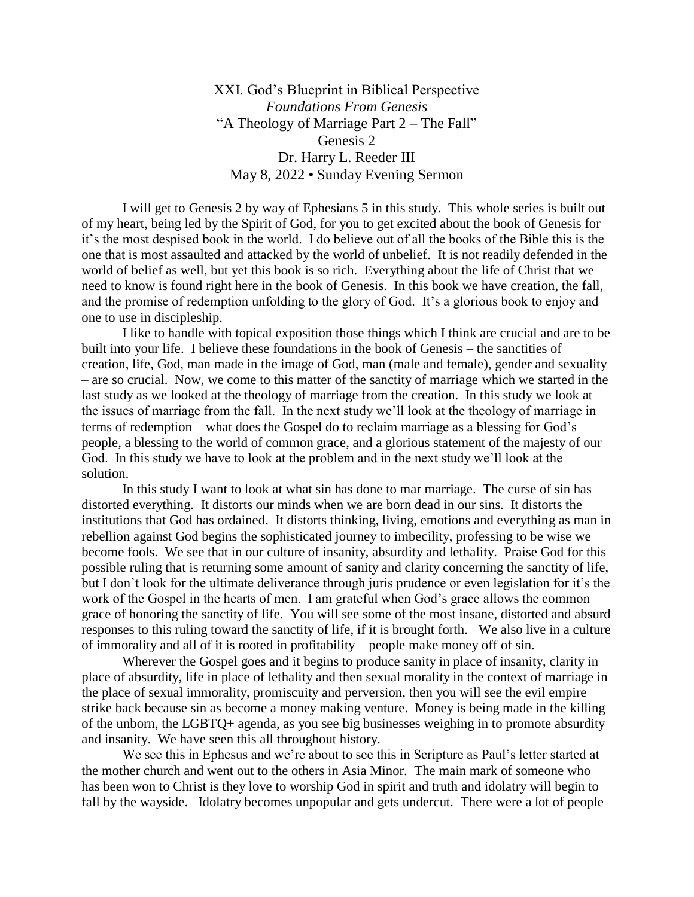XXI. God's Blueprint in Biblical Perspective *Foundations From Genesis*  "A Theology of Marriage Part 2 – The Fall" Genesis 2 Dr. Harry L. Reeder III May 8, 2022 • Sunday Evening Sermon

I will get to Genesis 2 by way of Ephesians 5 in this study. This whole series is built out of my heart, being led by the Spirit of God, for you to get excited about the book of Genesis for it's the most despised book in the world. I do believe out of all the books of the Bible this is the one that is most assaulted and attacked by the world of unbelief. It is not readily defended in the world of belief as well, but yet this book is so rich. Everything about the life of Christ that we need to know is found right here in the book of Genesis. In this book we have creation, the fall, and the promise of redemption unfolding to the glory of God. It's a glorious book to enjoy and one to use in discipleship.

I like to handle with topical exposition those things which I think are crucial and are to be built into your life. I believe these foundations in the book of Genesis – the sanctities of creation, life, God, man made in the image of God, man (male and female), gender and sexuality – are so crucial. Now, we come to this matter of the sanctity of marriage which we started in the last study as we looked at the theology of marriage from the creation. In this study we look at the issues of marriage from the fall. In the next study we'll look at the theology of marriage in terms of redemption – what does the Gospel do to reclaim marriage as a blessing for God's people, a blessing to the world of common grace, and a glorious statement of the majesty of our God. In this study we have to look at the problem and in the next study we'll look at the solution.

In this study I want to look at what sin has done to mar marriage. The curse of sin has distorted everything. It distorts our minds when we are born dead in our sins. It distorts the institutions that God has ordained. It distorts thinking, living, emotions and everything as man in rebellion against God begins the sophisticated journey to imbecility, professing to be wise we become fools. We see that in our culture of insanity, absurdity and lethality. Praise God for this possible ruling that is returning some amount of sanity and clarity concerning the sanctity of life, but I don't look for the ultimate deliverance through juris prudence or even legislation for it's the work of the Gospel in the hearts of men. I am grateful when God's grace allows the common grace of honoring the sanctity of life. You will see some of the most insane, distorted and absurd responses to this ruling toward the sanctity of life, if it is brought forth. We also live in a culture of immorality and all of it is rooted in profitability – people make money off of sin.

Wherever the Gospel goes and it begins to produce sanity in place of insanity, clarity in place of absurdity, life in place of lethality and then sexual morality in the context of marriage in the place of sexual immorality, promiscuity and perversion, then you will see the evil empire strike back because sin as become a money making venture. Money is being made in the killing of the unborn, the LGBTQ+ agenda, as you see big businesses weighing in to promote absurdity and insanity. We have seen this all throughout history.

We see this in Ephesus and we're about to see this in Scripture as Paul's letter started at the mother church and went out to the others in Asia Minor. The main mark of someone who has been won to Christ is they love to worship God in spirit and truth and idolatry will begin to fall by the wayside. Idolatry becomes unpopular and gets undercut. There were a lot of people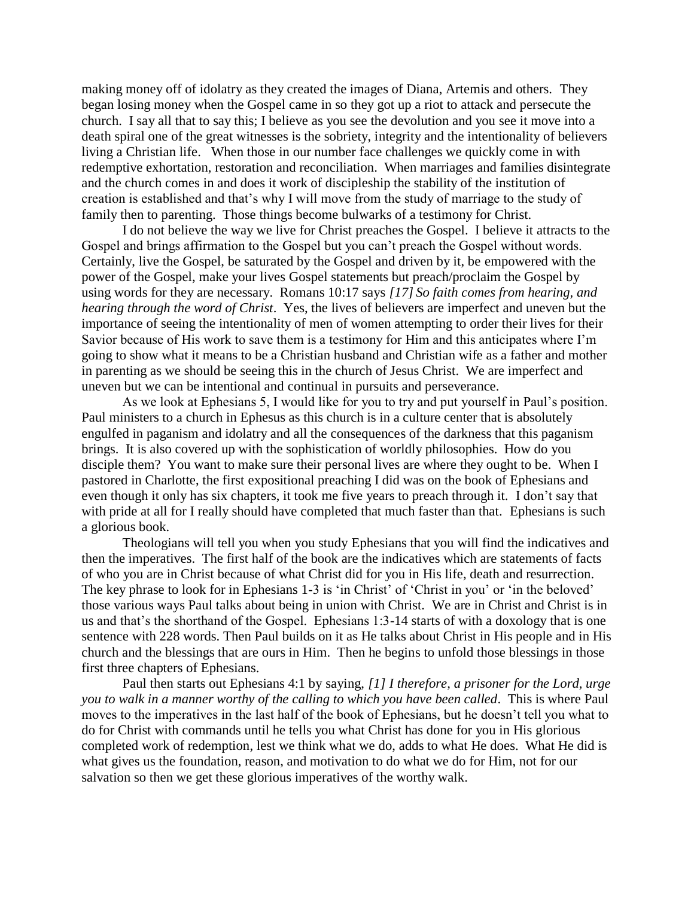making money off of idolatry as they created the images of Diana, Artemis and others. They began losing money when the Gospel came in so they got up a riot to attack and persecute the church. I say all that to say this; I believe as you see the devolution and you see it move into a death spiral one of the great witnesses is the sobriety, integrity and the intentionality of believers living a Christian life. When those in our number face challenges we quickly come in with redemptive exhortation, restoration and reconciliation. When marriages and families disintegrate and the church comes in and does it work of discipleship the stability of the institution of creation is established and that's why I will move from the study of marriage to the study of family then to parenting. Those things become bulwarks of a testimony for Christ.

I do not believe the way we live for Christ preaches the Gospel. I believe it attracts to the Gospel and brings affirmation to the Gospel but you can't preach the Gospel without words. Certainly, live the Gospel, be saturated by the Gospel and driven by it, be empowered with the power of the Gospel, make your lives Gospel statements but preach/proclaim the Gospel by using words for they are necessary. Romans 10:17 says *[17] So faith comes from hearing, and hearing through the word of Christ*. Yes, the lives of believers are imperfect and uneven but the importance of seeing the intentionality of men of women attempting to order their lives for their Savior because of His work to save them is a testimony for Him and this anticipates where I'm going to show what it means to be a Christian husband and Christian wife as a father and mother in parenting as we should be seeing this in the church of Jesus Christ. We are imperfect and uneven but we can be intentional and continual in pursuits and perseverance.

As we look at Ephesians 5, I would like for you to try and put yourself in Paul's position. Paul ministers to a church in Ephesus as this church is in a culture center that is absolutely engulfed in paganism and idolatry and all the consequences of the darkness that this paganism brings. It is also covered up with the sophistication of worldly philosophies. How do you disciple them? You want to make sure their personal lives are where they ought to be. When I pastored in Charlotte, the first expositional preaching I did was on the book of Ephesians and even though it only has six chapters, it took me five years to preach through it. I don't say that with pride at all for I really should have completed that much faster than that. Ephesians is such a glorious book.

Theologians will tell you when you study Ephesians that you will find the indicatives and then the imperatives. The first half of the book are the indicatives which are statements of facts of who you are in Christ because of what Christ did for you in His life, death and resurrection. The key phrase to look for in Ephesians 1-3 is 'in Christ' of 'Christ in you' or 'in the beloved' those various ways Paul talks about being in union with Christ. We are in Christ and Christ is in us and that's the shorthand of the Gospel. Ephesians 1:3-14 starts of with a doxology that is one sentence with 228 words. Then Paul builds on it as He talks about Christ in His people and in His church and the blessings that are ours in Him. Then he begins to unfold those blessings in those first three chapters of Ephesians.

Paul then starts out Ephesians 4:1 by saying, *[1] I therefore, a prisoner for the Lord, urge you to walk in a manner worthy of the calling to which you have been called*. This is where Paul moves to the imperatives in the last half of the book of Ephesians, but he doesn't tell you what to do for Christ with commands until he tells you what Christ has done for you in His glorious completed work of redemption, lest we think what we do, adds to what He does. What He did is what gives us the foundation, reason, and motivation to do what we do for Him, not for our salvation so then we get these glorious imperatives of the worthy walk.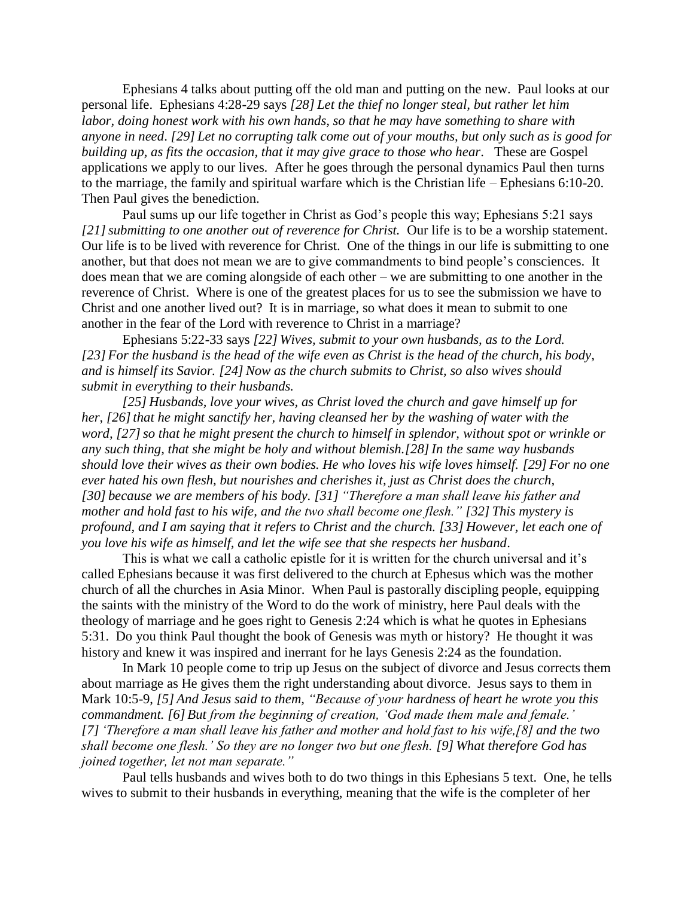Ephesians 4 talks about putting off the old man and putting on the new. Paul looks at our personal life. Ephesians 4:28-29 says *[28] Let the thief no longer steal, but rather let him labor, doing honest work with his own hands, so that he may have something to share with anyone in need*. *[29] Let no corrupting talk come out of your mouths, but only such as is good for building up, as fits the occasion, that it may give grace to those who hear*. These are Gospel applications we apply to our lives. After he goes through the personal dynamics Paul then turns to the marriage, the family and spiritual warfare which is the Christian life – Ephesians 6:10-20. Then Paul gives the benediction.

Paul sums up our life together in Christ as God's people this way; Ephesians 5:21 says *[21]submitting to one another out of reverence for Christ.* Our life is to be a worship statement. Our life is to be lived with reverence for Christ. One of the things in our life is submitting to one another, but that does not mean we are to give commandments to bind people's consciences. It does mean that we are coming alongside of each other – we are submitting to one another in the reverence of Christ. Where is one of the greatest places for us to see the submission we have to Christ and one another lived out? It is in marriage, so what does it mean to submit to one another in the fear of the Lord with reverence to Christ in a marriage?

Ephesians 5:22-33 says *[22] Wives, submit to your own husbands, as to the Lord. [23] For the husband is the head of the wife even as Christ is the head of the church, his body, and is himself its Savior. [24] Now as the church submits to Christ, so also wives should submit in everything to their husbands.* 

*[25] Husbands, love your wives, as Christ loved the church and gave himself up for her,* [26] that he might sanctify her, having cleansed her by the washing of water with the *word, [27]so that he might present the church to himself in splendor, without spot or wrinkle or any such thing, that she might be holy and without blemish.[28]In the same way husbands should love their wives as their own bodies. He who loves his wife loves himself. [29] For no one ever hated his own flesh, but nourishes and cherishes it, just as Christ does the church, [30] because we are members of his body. [31] "Therefore a man shall leave his father and mother and hold fast to his wife, and the two shall become one flesh." [32] This mystery is profound, and I am saying that it refers to Christ and the church. [33] However, let each one of you love his wife as himself, and let the wife see that she respects her husband*.

This is what we call a catholic epistle for it is written for the church universal and it's called Ephesians because it was first delivered to the church at Ephesus which was the mother church of all the churches in Asia Minor. When Paul is pastorally discipling people, equipping the saints with the ministry of the Word to do the work of ministry, here Paul deals with the theology of marriage and he goes right to Genesis 2:24 which is what he quotes in Ephesians 5:31. Do you think Paul thought the book of Genesis was myth or history? He thought it was history and knew it was inspired and inerrant for he lays Genesis 2:24 as the foundation.

In Mark 10 people come to trip up Jesus on the subject of divorce and Jesus corrects them about marriage as He gives them the right understanding about divorce. Jesus says to them in Mark 10:5-9, *[5] And Jesus said to them, "Because of your hardness of heart he wrote you this commandment. [6] But from the beginning of creation, 'God made them male and female.' [7]'Therefore a man shall leave his father and mother and hold fast to his wife,[8] and the two shall become one flesh.' So they are no longer two but one flesh. [9] What therefore God has joined together, let not man separate."* 

Paul tells husbands and wives both to do two things in this Ephesians 5 text. One, he tells wives to submit to their husbands in everything, meaning that the wife is the completer of her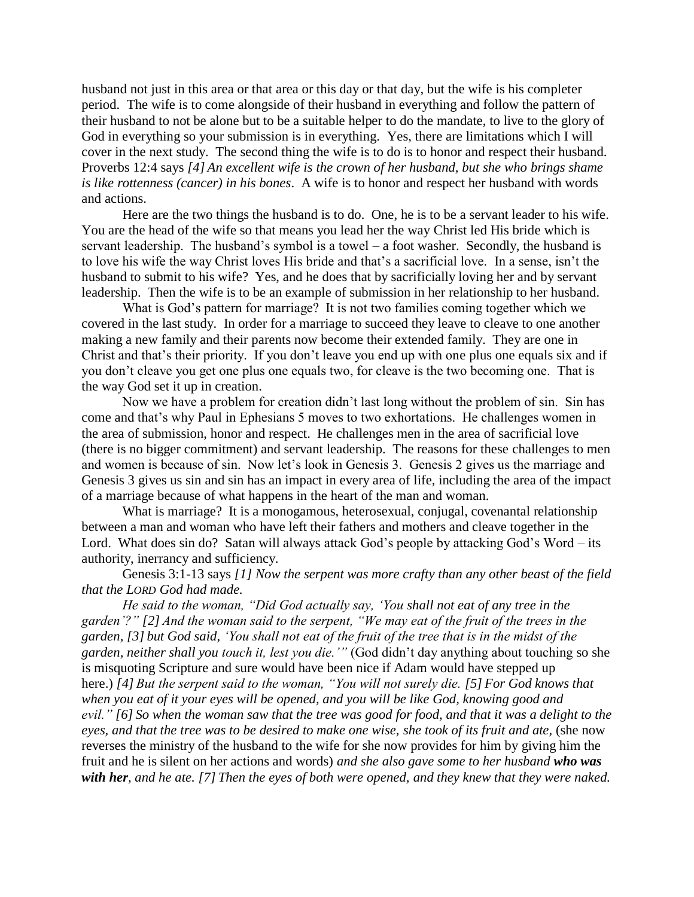husband not just in this area or that area or this day or that day, but the wife is his completer period. The wife is to come alongside of their husband in everything and follow the pattern of their husband to not be alone but to be a suitable helper to do the mandate, to live to the glory of God in everything so your submission is in everything. Yes, there are limitations which I will cover in the next study. The second thing the wife is to do is to honor and respect their husband. Proverbs 12:4 says *[4] An excellent wife is the crown of her husband, but she who brings shame is like rottenness (cancer) in his bones*. A wife is to honor and respect her husband with words and actions.

Here are the two things the husband is to do. One, he is to be a servant leader to his wife. You are the head of the wife so that means you lead her the way Christ led His bride which is servant leadership. The husband's symbol is a towel  $-$  a foot washer. Secondly, the husband is to love his wife the way Christ loves His bride and that's a sacrificial love. In a sense, isn't the husband to submit to his wife? Yes, and he does that by sacrificially loving her and by servant leadership. Then the wife is to be an example of submission in her relationship to her husband.

What is God's pattern for marriage? It is not two families coming together which we covered in the last study. In order for a marriage to succeed they leave to cleave to one another making a new family and their parents now become their extended family. They are one in Christ and that's their priority. If you don't leave you end up with one plus one equals six and if you don't cleave you get one plus one equals two, for cleave is the two becoming one. That is the way God set it up in creation.

Now we have a problem for creation didn't last long without the problem of sin. Sin has come and that's why Paul in Ephesians 5 moves to two exhortations. He challenges women in the area of submission, honor and respect. He challenges men in the area of sacrificial love (there is no bigger commitment) and servant leadership. The reasons for these challenges to men and women is because of sin. Now let's look in Genesis 3. Genesis 2 gives us the marriage and Genesis 3 gives us sin and sin has an impact in every area of life, including the area of the impact of a marriage because of what happens in the heart of the man and woman.

What is marriage? It is a monogamous, heterosexual, conjugal, covenantal relationship between a man and woman who have left their fathers and mothers and cleave together in the Lord. What does sin do? Satan will always attack God's people by attacking God's Word – its authority, inerrancy and sufficiency.

Genesis 3:1-13 says *[1] Now the serpent was more crafty than any other beast of the field that the LORD God had made.*

*He said to the woman, "Did God actually say, 'You shall not eat of any tree in the garden'?" [2] And the woman said to the serpent, "We may eat of the fruit of the trees in the garden, [3] but God said, 'You shall not eat of the fruit of the tree that is in the midst of the garden, neither shall you touch it, lest you die.'"* (God didn't day anything about touching so she is misquoting Scripture and sure would have been nice if Adam would have stepped up here.) *[4] But the serpent said to the woman, "You will not surely die. [5] For God knows that when you eat of it your eyes will be opened, and you will be like God, knowing good and evil." [6] So when the woman saw that the tree was good for food, and that it was a delight to the eyes, and that the tree was to be desired to make one wise, she took of its fruit and ate,* (she now reverses the ministry of the husband to the wife for she now provides for him by giving him the fruit and he is silent on her actions and words) *and she also gave some to her husband who was with her, and he ate. [7] Then the eyes of both were opened, and they knew that they were naked.*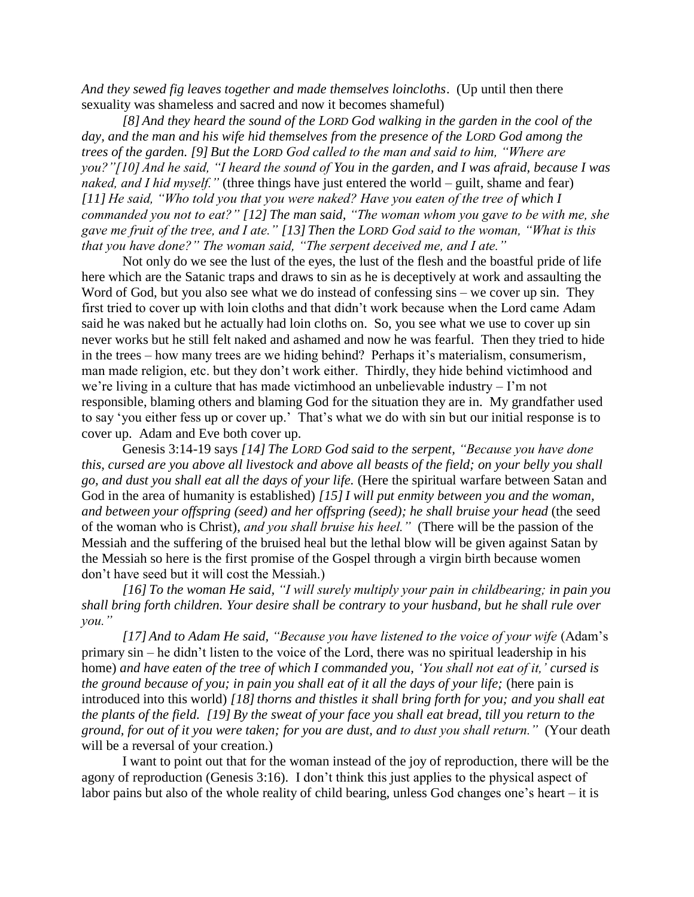*And they sewed fig leaves together and made themselves loincloths*. (Up until then there sexuality was shameless and sacred and now it becomes shameful)

*[8] And they heard the sound of the LORD God walking in the garden in the cool of the day, and the man and his wife hid themselves from the presence of the LORD God among the trees of the garden. [9] But the LORD God called to the man and said to him, "Where are you?"[10] And he said, "I heard the sound of You in the garden, and I was afraid, because I was naked, and I hid myself."* (three things have just entered the world – guilt, shame and fear) *[11] He said, "Who told you that you were naked? Have you eaten of the tree of which I commanded you not to eat?" [12] The man said, "The woman whom you gave to be with me, she gave me fruit of the tree, and I ate." [13] Then the LORD God said to the woman, "What is this that you have done?" The woman said, "The serpent deceived me, and I ate."*

Not only do we see the lust of the eyes, the lust of the flesh and the boastful pride of life here which are the Satanic traps and draws to sin as he is deceptively at work and assaulting the Word of God, but you also see what we do instead of confessing sins – we cover up sin. They first tried to cover up with loin cloths and that didn't work because when the Lord came Adam said he was naked but he actually had loin cloths on. So, you see what we use to cover up sin never works but he still felt naked and ashamed and now he was fearful. Then they tried to hide in the trees – how many trees are we hiding behind? Perhaps it's materialism, consumerism, man made religion, etc. but they don't work either. Thirdly, they hide behind victimhood and we're living in a culture that has made victimhood an unbelievable industry – I'm not responsible, blaming others and blaming God for the situation they are in. My grandfather used to say 'you either fess up or cover up.' That's what we do with sin but our initial response is to cover up. Adam and Eve both cover up.

Genesis 3:14-19 says *[14] The LORD God said to the serpent, "Because you have done this, cursed are you above all livestock and above all beasts of the field; on your belly you shall go, and dust you shall eat all the days of your life.* (Here the spiritual warfare between Satan and God in the area of humanity is established) *[15]I will put enmity between you and the woman, and between your offspring (seed) and her offspring (seed); he shall bruise your head* (the seed of the woman who is Christ), *and you shall bruise his heel."* (There will be the passion of the Messiah and the suffering of the bruised heal but the lethal blow will be given against Satan by the Messiah so here is the first promise of the Gospel through a virgin birth because women don't have seed but it will cost the Messiah.)

*[16] To the woman He said, "I will surely multiply your pain in childbearing; in pain you shall bring forth children. Your desire shall be contrary to your husband, but he shall rule over you."* 

*[17] And to Adam He said, "Because you have listened to the voice of your wife* (Adam's primary sin – he didn't listen to the voice of the Lord, there was no spiritual leadership in his home) *and have eaten of the tree of which I commanded you, 'You shall not eat of it,' cursed is the ground because of you; in pain you shall eat of it all the days of your life;* (here pain is introduced into this world) [18] thorns and thistles it shall bring forth for you; and you shall eat *the plants of the field. [19] By the sweat of your face you shall eat bread, till you return to the ground, for out of it you were taken; for you are dust, and to dust you shall return."* (Your death will be a reversal of your creation.)

I want to point out that for the woman instead of the joy of reproduction, there will be the agony of reproduction (Genesis 3:16). I don't think this just applies to the physical aspect of labor pains but also of the whole reality of child bearing, unless God changes one's heart – it is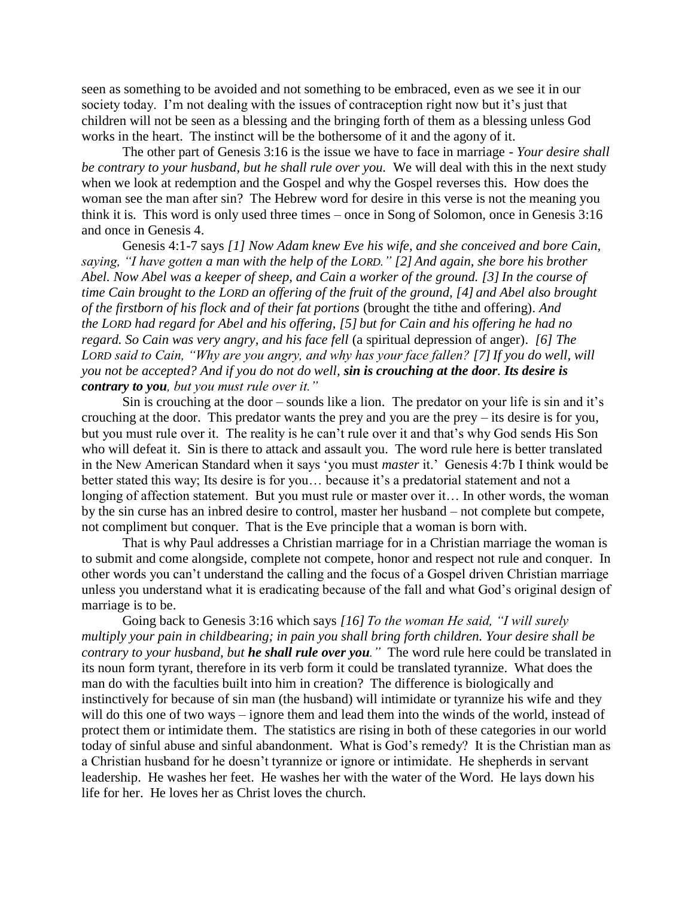seen as something to be avoided and not something to be embraced, even as we see it in our society today. I'm not dealing with the issues of contraception right now but it's just that children will not be seen as a blessing and the bringing forth of them as a blessing unless God works in the heart. The instinct will be the bothersome of it and the agony of it.

The other part of Genesis 3:16 is the issue we have to face in marriage - *Your desire shall be contrary to your husband, but he shall rule over you.* We will deal with this in the next study when we look at redemption and the Gospel and why the Gospel reverses this. How does the woman see the man after sin? The Hebrew word for desire in this verse is not the meaning you think it is. This word is only used three times – once in Song of Solomon, once in Genesis 3:16 and once in Genesis 4.

Genesis 4:1-7 says *[1] Now Adam knew Eve his wife, and she conceived and bore Cain, saying, "I have gotten a man with the help of the LORD." [2] And again, she bore his brother Abel. Now Abel was a keeper of sheep, and Cain a worker of the ground. [3]In the course of time Cain brought to the LORD an offering of the fruit of the ground, [4] and Abel also brought of the firstborn of his flock and of their fat portions* (brought the tithe and offering). *And the LORD had regard for Abel and his offering, [5] but for Cain and his offering he had no regard. So Cain was very angry, and his face fell* (a spiritual depression of anger). *[6] The LORD said to Cain, "Why are you angry, and why has your face fallen? [7]If you do well, will you not be accepted? And if you do not do well, sin is crouching at the door. Its desire is contrary to you, but you must rule over it."*

Sin is crouching at the door – sounds like a lion. The predator on your life is sin and it's crouching at the door. This predator wants the prey and you are the prey – its desire is for you, but you must rule over it. The reality is he can't rule over it and that's why God sends His Son who will defeat it. Sin is there to attack and assault you. The word rule here is better translated in the New American Standard when it says 'you must *master* it.' Genesis 4:7b I think would be better stated this way; Its desire is for you… because it's a predatorial statement and not a longing of affection statement. But you must rule or master over it… In other words, the woman by the sin curse has an inbred desire to control, master her husband – not complete but compete, not compliment but conquer. That is the Eve principle that a woman is born with.

That is why Paul addresses a Christian marriage for in a Christian marriage the woman is to submit and come alongside, complete not compete, honor and respect not rule and conquer. In other words you can't understand the calling and the focus of a Gospel driven Christian marriage unless you understand what it is eradicating because of the fall and what God's original design of marriage is to be.

Going back to Genesis 3:16 which says *[16] To the woman He said, "I will surely multiply your pain in childbearing; in pain you shall bring forth children. Your desire shall be contrary to your husband, but he shall rule over you."* The word rule here could be translated in its noun form tyrant, therefore in its verb form it could be translated tyrannize. What does the man do with the faculties built into him in creation? The difference is biologically and instinctively for because of sin man (the husband) will intimidate or tyrannize his wife and they will do this one of two ways – ignore them and lead them into the winds of the world, instead of protect them or intimidate them. The statistics are rising in both of these categories in our world today of sinful abuse and sinful abandonment. What is God's remedy? It is the Christian man as a Christian husband for he doesn't tyrannize or ignore or intimidate. He shepherds in servant leadership. He washes her feet. He washes her with the water of the Word. He lays down his life for her. He loves her as Christ loves the church.